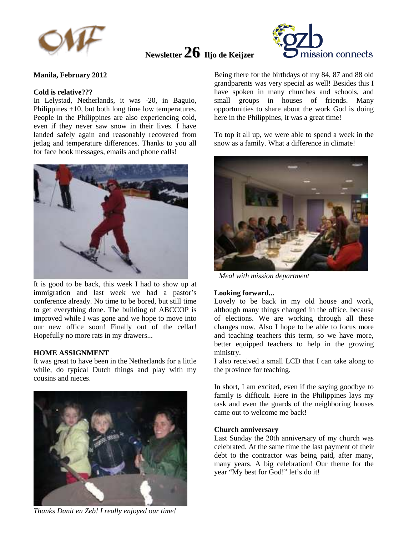

# **Newsletter 26 Iljo de Keijzer**



## **Manila, February 2012**

### **Cold is relative???**

In Lelystad, Netherlands, it was -20, in Baguio, Philippines +10, but both long time low temperatures. People in the Philippines are also experiencing cold, even if they never saw snow in their lives. I have landed safely again and reasonably recovered from jetlag and temperature differences. Thanks to you all for face book messages, emails and phone calls!



It is good to be back, this week I had to show up at immigration and last week we had a pastor's conference already. No time to be bored, but still time to get everything done. The building of ABCCOP is improved while I was gone and we hope to move into our new office soon! Finally out of the cellar! Hopefully no more rats in my drawers...

## **HOME ASSIGNMENT**

It was great to have been in the Netherlands for a little while, do typical Dutch things and play with my cousins and nieces.



*Thanks Danit en Zeb! I really enjoyed our time!* 

Being there for the birthdays of my 84, 87 and 88 old grandparents was very special as well! Besides this I have spoken in many churches and schools, and small groups in houses of friends. Many opportunities to share about the work God is doing here in the Philippines, it was a great time!

To top it all up, we were able to spend a week in the snow as a family. What a difference in climate!



*Meal with mission department* 

### **Looking forward...**

Lovely to be back in my old house and work, although many things changed in the office, because of elections. We are working through all these changes now. Also I hope to be able to focus more and teaching teachers this term, so we have more, better equipped teachers to help in the growing ministry.

I also received a small LCD that I can take along to the province for teaching.

In short, I am excited, even if the saying goodbye to family is difficult. Here in the Philippines lays my task and even the guards of the neighboring houses came out to welcome me back!

### **Church anniversary**

Last Sunday the 20th anniversary of my church was celebrated. At the same time the last payment of their debt to the contractor was being paid, after many, many years. A big celebration! Our theme for the year "My best for God!" let's do it!